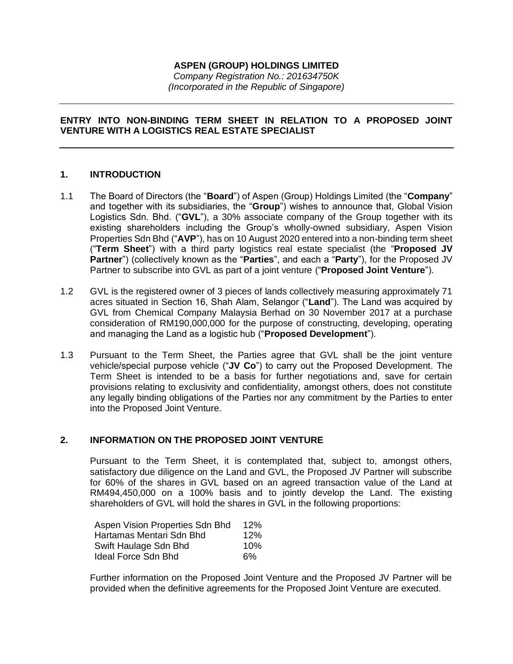# **ASPEN (GROUP) HOLDINGS LIMITED**

*Company Registration No.: 201634750K (Incorporated in the Republic of Singapore)*

### **ENTRY INTO NON-BINDING TERM SHEET IN RELATION TO A PROPOSED JOINT VENTURE WITH A LOGISTICS REAL ESTATE SPECIALIST**

### **1. INTRODUCTION**

- 1.1 The Board of Directors (the "**Board**") of Aspen (Group) Holdings Limited (the "**Company**" and together with its subsidiaries, the "**Group**") wishes to announce that, Global Vision Logistics Sdn. Bhd. ("**GVL**"), a 30% associate company of the Group together with its existing shareholders including the Group's wholly-owned subsidiary, Aspen Vision Properties Sdn Bhd ("**AVP**"), has on 10 August 2020 entered into a non-binding term sheet ("**Term Sheet**") with a third party logistics real estate specialist (the "**Proposed JV Partner**") (collectively known as the "**Parties**", and each a "**Party**"), for the Proposed JV Partner to subscribe into GVL as part of a joint venture ("**Proposed Joint Venture**").
- 1.2 GVL is the registered owner of 3 pieces of lands collectively measuring approximately 71 acres situated in Section 16, Shah Alam, Selangor ("**Land**"). The Land was acquired by GVL from Chemical Company Malaysia Berhad on 30 November 2017 at a purchase consideration of RM190,000,000 for the purpose of constructing, developing, operating and managing the Land as a logistic hub ("**Proposed Development**").
- 1.3 Pursuant to the Term Sheet, the Parties agree that GVL shall be the joint venture vehicle/special purpose vehicle ("**JV Co**") to carry out the Proposed Development. The Term Sheet is intended to be a basis for further negotiations and, save for certain provisions relating to exclusivity and confidentiality, amongst others, does not constitute any legally binding obligations of the Parties nor any commitment by the Parties to enter into the Proposed Joint Venture.

# **2. INFORMATION ON THE PROPOSED JOINT VENTURE**

Pursuant to the Term Sheet, it is contemplated that, subject to, amongst others, satisfactory due diligence on the Land and GVL, the Proposed JV Partner will subscribe for 60% of the shares in GVL based on an agreed transaction value of the Land at RM494,450,000 on a 100% basis and to jointly develop the Land. The existing shareholders of GVL will hold the shares in GVL in the following proportions:

| Aspen Vision Properties Sdn Bhd | 12% |
|---------------------------------|-----|
| Hartamas Mentari Sdn Bhd        | 12% |
| Swift Haulage Sdn Bhd           | 10% |
| Ideal Force Sdn Bhd             | 6%  |

Further information on the Proposed Joint Venture and the Proposed JV Partner will be provided when the definitive agreements for the Proposed Joint Venture are executed.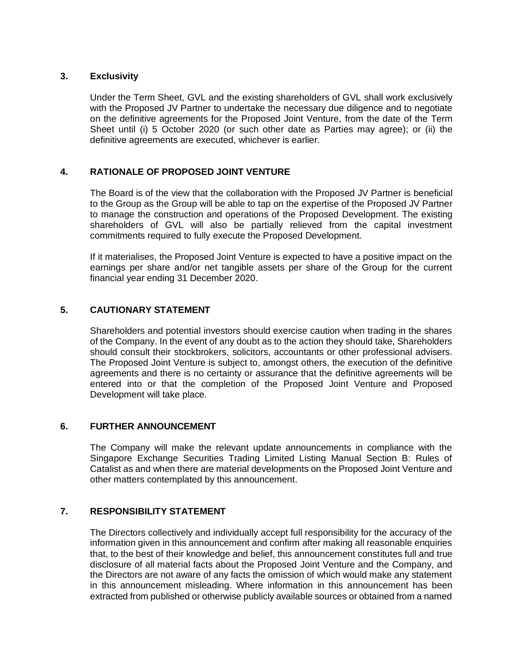### **3. Exclusivity**

Under the Term Sheet, GVL and the existing shareholders of GVL shall work exclusively with the Proposed JV Partner to undertake the necessary due diligence and to negotiate on the definitive agreements for the Proposed Joint Venture, from the date of the Term Sheet until (i) 5 October 2020 (or such other date as Parties may agree); or (ii) the definitive agreements are executed, whichever is earlier.

# **4. RATIONALE OF PROPOSED JOINT VENTURE**

The Board is of the view that the collaboration with the Proposed JV Partner is beneficial to the Group as the Group will be able to tap on the expertise of the Proposed JV Partner to manage the construction and operations of the Proposed Development. The existing shareholders of GVL will also be partially relieved from the capital investment commitments required to fully execute the Proposed Development.

If it materialises, the Proposed Joint Venture is expected to have a positive impact on the earnings per share and/or net tangible assets per share of the Group for the current financial year ending 31 December 2020.

# **5. CAUTIONARY STATEMENT**

Shareholders and potential investors should exercise caution when trading in the shares of the Company. In the event of any doubt as to the action they should take, Shareholders should consult their stockbrokers, solicitors, accountants or other professional advisers. The Proposed Joint Venture is subject to, amongst others, the execution of the definitive agreements and there is no certainty or assurance that the definitive agreements will be entered into or that the completion of the Proposed Joint Venture and Proposed Development will take place.

#### **6. FURTHER ANNOUNCEMENT**

The Company will make the relevant update announcements in compliance with the Singapore Exchange Securities Trading Limited Listing Manual Section B: Rules of Catalist as and when there are material developments on the Proposed Joint Venture and other matters contemplated by this announcement.

#### **7. RESPONSIBILITY STATEMENT**

The Directors collectively and individually accept full responsibility for the accuracy of the information given in this announcement and confirm after making all reasonable enquiries that, to the best of their knowledge and belief, this announcement constitutes full and true disclosure of all material facts about the Proposed Joint Venture and the Company, and the Directors are not aware of any facts the omission of which would make any statement in this announcement misleading. Where information in this announcement has been extracted from published or otherwise publicly available sources or obtained from a named